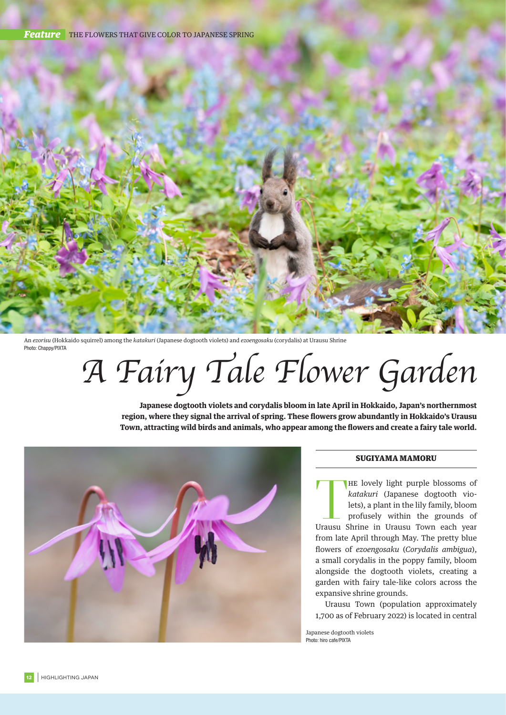

An *ezorisu* (Hokkaido squirrel) among the *katakuri* (Japanese dogtooth violets) and *ezoengosaku* (corydalis) at Urausu Shrine Photo: Chappy/PIXTA

*A Fairy Tale Flower Garden*

**Japanese dogtooth violets and corydalis bloom in late April in Hokkaido, Japan's northernmost region, where they signal the arrival of spring. These flowers grow abundantly in Hokkaido's Urausu Town, attracting wild birds and animals, who appear among the flowers and create a fairy tale world.**



## SUGIYAMA MAMORU

THE lovely light purple blossoms of<br>
katakuri (Japanese dogtooth vio-<br>
lets), a plant in the lily family, bloom<br>
profusely within the grounds of<br>
Urausu Shrine in Urausu Town each year HE lovely light purple blossoms of *katakuri* (Japanese dogtooth violets), a plant in the lily family, bloom profusely within the grounds of from late April through May. The pretty blue flowers of *ezoengosaku* (*Corydalis ambigua*), a small corydalis in the poppy family, bloom alongside the dogtooth violets, creating a garden with fairy tale-like colors across the expansive shrine grounds.

Urausu Town (population approximately 1,700 as of February 2022) is located in central

Japanese dogtooth violets Photo: hiro cafe/PIXTA